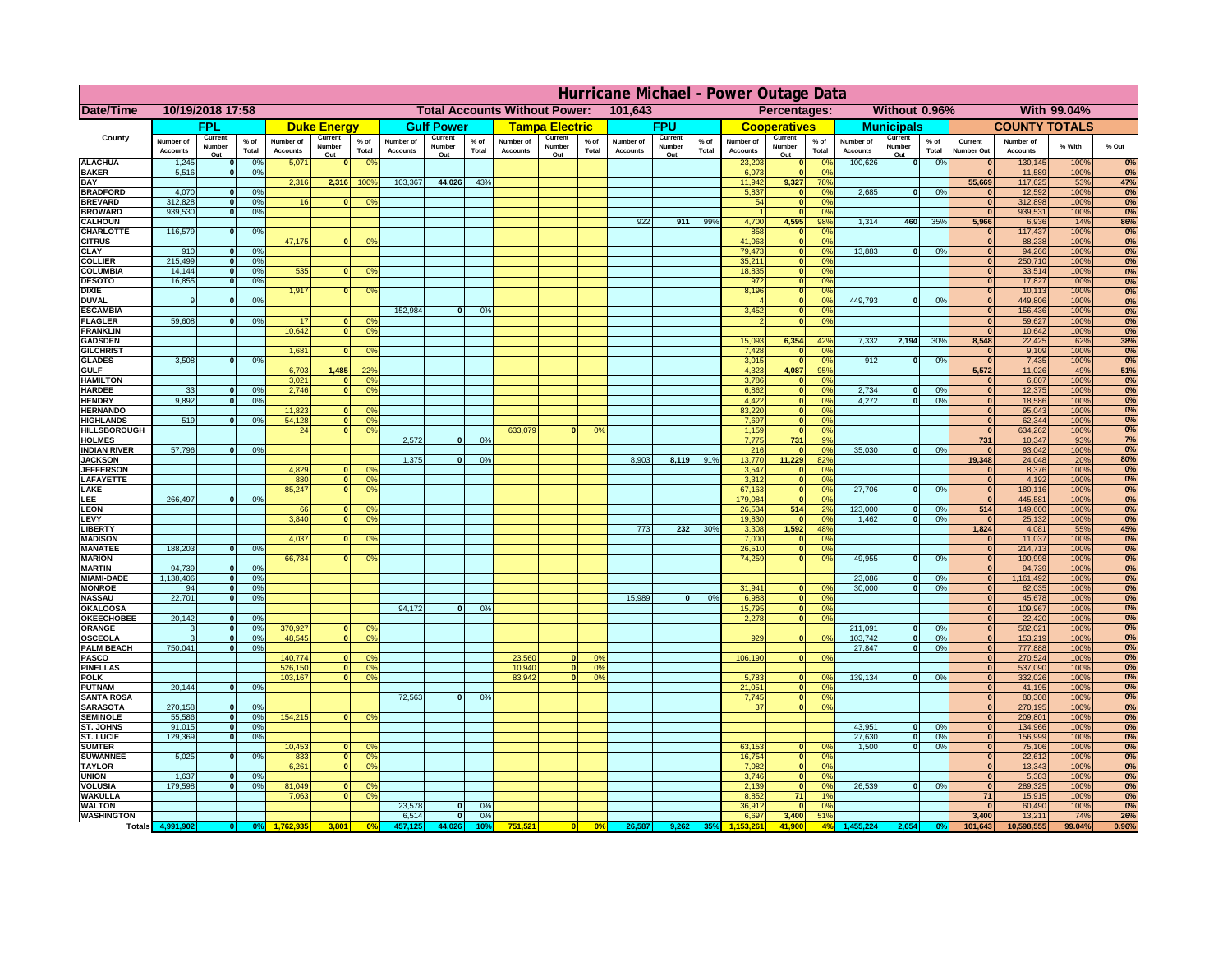|                                         | Hurricane Michael - Power Outage Data |                              |                                |                              |                          |                                                    |                              |                          |                 |                              |                                              |               |                              |                          |                      |                              |                          |                      |                              |                               |                 |                              |                              |              |           |
|-----------------------------------------|---------------------------------------|------------------------------|--------------------------------|------------------------------|--------------------------|----------------------------------------------------|------------------------------|--------------------------|-----------------|------------------------------|----------------------------------------------|---------------|------------------------------|--------------------------|----------------------|------------------------------|--------------------------|----------------------|------------------------------|-------------------------------|-----------------|------------------------------|------------------------------|--------------|-----------|
| Date/Time                               | 10/19/2018 17:58                      |                              |                                |                              |                          | 101,643<br><b>Total Accounts Without Power:</b>    |                              |                          |                 |                              | Without 0.96%<br>With 99.04%<br>Percentages: |               |                              |                          |                      |                              |                          |                      |                              |                               |                 |                              |                              |              |           |
|                                         | FPL                                   |                              | <b>Duke Energy</b>             |                              | <b>Gulf Power</b>        |                                                    | <b>Tampa Electric</b>        |                          | <b>FPU</b>      |                              | <b>Cooperatives</b>                          |               | <b>Municipals</b>            |                          | <b>COUNTY TOTALS</b> |                              |                          |                      |                              |                               |                 |                              |                              |              |           |
| County                                  | Number of<br><b>Accounts</b>          | Current<br>Number<br>Out     | $%$ of<br>Total                | Number of<br><b>Accounts</b> | Current<br>Number<br>Out | $%$ of<br>Total                                    | Number of<br><b>Accounts</b> | Current<br>Number<br>Out | $%$ of<br>Total | Number of<br><b>Accounts</b> | Current<br>Number<br>Out                     | % of<br>Total | Number of<br><b>Accounts</b> | Current<br>Number<br>Out | % of<br>Total        | Number of<br><b>Accounts</b> | Current<br>Number<br>Out | $%$ of<br>Total      | Number of<br><b>Accounts</b> | Current<br>Number<br>Out      | $%$ of<br>Total | Current<br><b>Number Out</b> | Number of<br><b>Accounts</b> | % With       | % Out     |
| <b>ALACHUA</b>                          | 1,245                                 | $\mathbf{0}$                 | 0%                             | 5,071                        | $\mathbf{0}$             | 0 <sup>9</sup>                                     |                              |                          |                 |                              |                                              |               |                              |                          |                      | 23,203                       | 0                        | 0 <sup>9</sup>       | 100,626                      | 0                             | 0%              | $\bf{0}$                     | 130,145                      | 100%         | 0%        |
| <b>BAKER</b><br><b>BAY</b>              | 5,516                                 | 0                            | 0%                             | 2,316                        | 2,316                    | 100%                                               | 103,367                      | 44,026                   | 43%             |                              |                                              |               |                              |                          |                      | 6,073<br>11,942              | 0 <br>9,327              | 0%<br>78%            |                              |                               |                 | $\mathbf{0}$<br>55,669       | 11,589<br>117,625            | 100%<br>53%  | 0%<br>47% |
| <b>BRADFORD</b>                         | 4,070                                 | $\mathbf{0}$                 | 0%                             |                              |                          |                                                    |                              |                          |                 |                              |                                              |               |                              |                          |                      | 5,837                        | 0                        | 0%                   | 2,685                        | 0                             | 0%              | $\bf{0}$                     | 12,592                       | 100%         | 0%        |
| <b>BREVARD</b>                          | 312,828                               | 0                            | 0%                             | 16                           | $\mathbf{0}$             | 0 <sup>o</sup>                                     |                              |                          |                 |                              |                                              |               |                              |                          |                      | 54                           | 0                        | 0%                   |                              |                               |                 | $\mathbf{0}$                 | 312,898                      | 100%         | 0%        |
| <b>BROWARD</b><br><b>CALHOUN</b>        | 939.530                               | 0                            | 0%                             |                              |                          |                                                    |                              |                          |                 |                              |                                              |               | 922                          | 911                      | 99%                  | 4,700                        | 0 <br>4,595              | 0%<br>98%            | 1,314                        | 460                           | 35%             | $\bf{0}$<br>5,966            | 939,531<br>6,936             | 100%<br>14%  | 0%<br>86% |
| CHARLOTTE                               | 116,579                               | 0                            | 0%                             |                              |                          |                                                    |                              |                          |                 |                              |                                              |               |                              |                          |                      | 858                          | 0                        | 0 <sup>9</sup>       |                              |                               |                 | $\bf{0}$                     | 117,437                      | 100%         | 0%        |
| <b>CITRUS</b>                           |                                       |                              |                                | 47,175                       | $\mathbf{0}$             | 0 <sup>o</sup>                                     |                              |                          |                 |                              |                                              |               |                              |                          |                      | 41,063                       | 0                        | 0 <sup>9</sup>       |                              |                               |                 | $\bf{0}$                     | 88,238                       | 100%         | 0%        |
| <b>CLAY</b><br><b>COLLIER</b>           | 910<br>215,499                        | $\mathbf{0}$<br>$\mathbf{0}$ | 0%<br>0 <sup>9</sup>           |                              |                          |                                                    |                              |                          |                 |                              |                                              |               |                              |                          |                      | 79,473<br>35,211             | 0 <br> 0                 | 0 <sup>9</sup><br>0% | 13,883                       | $\mathbf{0}$                  | 0%              | $\bf{0}$<br>$\bf{0}$         | 94,266<br>250,710            | 100%<br>100% | 0%<br>0%  |
| <b>COLUMBIA</b>                         | 14,144                                | $\mathbf 0$                  | 0%                             | 535                          | $\mathbf{0}$             | 0 <sup>9</sup>                                     |                              |                          |                 |                              |                                              |               |                              |                          |                      | 18,835                       | 0                        | 0%                   |                              |                               |                 | $\bf{0}$                     | 33,514                       | 100%         | 0%        |
| <b>DESOTO</b>                           | 16,855                                | $\mathbf{0}$                 | 0%                             |                              |                          |                                                    |                              |                          |                 |                              |                                              |               |                              |                          |                      | 972                          | 0                        | 0%                   |                              |                               |                 | $\bf{0}$                     | 17,827                       | 100%         | 0%        |
| <b>DIXIE</b><br><b>DUVAL</b>            | 9                                     | $\Omega$                     | 0%                             | 1,917                        | $\Omega$                 | 0 <sup>9</sup>                                     |                              |                          |                 |                              |                                              |               |                              |                          |                      | 8,196                        | 0 <br> 0                 | 0%<br>0%             | 449.793                      | $\overline{\mathbf{0}}$       | 0%              | $\Omega$<br>$\Omega$         | 10,113<br>449,806            | 100%<br>100% | 0%<br>0%  |
| <b>ESCAMBIA</b>                         |                                       |                              |                                |                              |                          |                                                    | 152,984                      | $\mathbf{0}$             | 0 <sup>o</sup>  |                              |                                              |               |                              |                          |                      | 3,452                        | 0                        | 0%                   |                              |                               |                 | $\Omega$                     | 156,436                      | 100%         | 0%        |
| <b>FLAGLER</b>                          | 59,608                                | $\overline{0}$               | 0%                             | 17                           | $\bf{0}$                 | 0 <sup>o</sup>                                     |                              |                          |                 |                              |                                              |               |                              |                          |                      |                              | 0                        | 0%                   |                              |                               |                 | $\mathbf{0}$                 | 59,627                       | 100%         | 0%        |
| <b>FRANKLIN</b><br><b>GADSDEN</b>       |                                       |                              |                                | 10,642                       | 0                        | 0 <sup>9</sup>                                     |                              |                          |                 |                              |                                              |               |                              |                          |                      | 15,093                       | 6,354                    | 42%                  | 7,332                        | 2,194                         | 30%             | $\Omega$<br>8,548            | 10,642<br>22,425             | 100%<br>62%  | 0%<br>38% |
| <b>GILCHRIST</b>                        |                                       |                              |                                | 1,681                        | $\mathbf{0}$             | 0 <sup>9</sup>                                     |                              |                          |                 |                              |                                              |               |                              |                          |                      | 7,428                        | 0                        | 0%                   |                              |                               |                 | $\mathbf{0}$                 | 9,109                        | 100%         | 0%        |
| <b>GLADES</b>                           | 3,508                                 |                              | 0%<br> 0                       |                              |                          |                                                    |                              |                          |                 |                              |                                              |               |                              |                          |                      | 3,015                        | 0                        | 0%                   | 912                          | $\overline{0}$                | 0%              | 0                            | 7,435                        | 100%         | 0%        |
| <b>GULF</b>                             |                                       |                              |                                | 6,703                        | 1,485                    | 22 <sup>o</sup>                                    |                              |                          |                 |                              |                                              |               |                              |                          |                      | 4,323                        | 4,087                    | 95%                  |                              |                               |                 | 5,572                        | 11,026                       | 49%          | 51%       |
| <b>HAMILTON</b><br><b>HARDEE</b>        | 33                                    |                              | 0%<br>$\mathbf{0}$             | 3,021<br>2.746               | $\Omega$                 | 0 <sup>9</sup><br>$\overline{0}$<br>0 <sup>9</sup> |                              |                          |                 |                              |                                              |               |                              |                          |                      | 3,786<br>6.862               | 0 <br>$\overline{0}$     | 0%<br>0%             | 2.734                        | $\mathbf{0}$                  | 0%              | $\mathbf{0}$<br> 0           | 6,807<br>12,375              | 100%<br>100% | 0%<br>0%  |
| <b>HENDRY</b>                           | 9,892                                 |                              | $\Omega$<br>0%                 |                              |                          |                                                    |                              |                          |                 |                              |                                              |               |                              |                          |                      | 4,422                        | 0                        | 0%                   | 4,272                        | $\Omega$                      | 0%              | 0                            | 18,586                       | 100%         | 0%        |
| <b>HERNANDO</b>                         |                                       |                              |                                | 11,823                       | $\mathbf{0}$             | 0 <sup>9</sup>                                     |                              |                          |                 |                              |                                              |               |                              |                          |                      | 83,220                       | 0                        | 0%                   |                              |                               |                 | 0                            | 95,043                       | 100%         | 0%        |
| <b>HIGHLANDS</b><br><b>HILLSBOROUGH</b> | 519                                   | $\mathbf{0}$                 | 0 <sup>9</sup>                 | 54,128<br>24                 |                          | 0 <br>0 <sup>9</sup><br> 0 <br>0 <sup>9</sup>      |                              |                          |                 | 633,079                      |                                              | 0%            |                              |                          |                      | 7,697<br>1,159               | 0 <br> 0                 | 0%<br>0%             |                              |                               |                 | $\mathbf{0}$<br> 0           | 62,344<br>634,262            | 100%<br>100% | 0%<br>0%  |
| <b>HOLMES</b>                           |                                       |                              |                                |                              |                          |                                                    | 2.572                        | $\mathbf{0}$             | 0%              |                              |                                              |               |                              |                          |                      | 7.775                        | 731                      | 9%                   |                              |                               |                 | 731                          | 10,347                       | 93%          | 7%        |
| <b>INDIAN RIVER</b>                     | 57,796                                |                              | $\mathbf{0}$<br>0%             |                              |                          |                                                    |                              |                          |                 |                              |                                              |               |                              |                          |                      | 216                          | 0                        | 0%                   | 35,030                       | $\mathbf{0}$                  | 0%              | $\mathbf{0}$                 | 93,042                       | 100%         | 0%        |
| <b>JACKSON</b>                          |                                       |                              |                                | 4.829                        |                          | n l                                                | 1.375                        | $\mathbf{0}$             | 0 <sup>9</sup>  |                              |                                              |               | 8.903                        | 8,119                    | 91%                  | 13,770<br>3.547              | 11.229                   | 82%                  |                              |                               |                 | 19.348                       | 24,048<br>8.376              | 20%          | 80%       |
| <b>JEFFERSON</b><br>LAFAYETTE           |                                       |                              |                                | 880                          |                          | 0 <sup>9</sup><br> 0 <br>0 <sup>9</sup>            |                              |                          |                 |                              |                                              |               |                              |                          |                      | 3.312                        | 0 <br> 0                 | 0%<br>0%             |                              |                               |                 | 0 <br> 0                     | 4.192                        | 100%<br>100% | 0%<br>0%  |
| LAKE                                    |                                       |                              |                                | 85,247                       |                          | $\mathbf{0}$<br>0 <sup>9</sup>                     |                              |                          |                 |                              |                                              |               |                              |                          |                      | 67,163                       | 0                        | 0%                   | 27,706                       | $\Omega$                      | 0%              | 0                            | 180,116                      | 100%         | 0%        |
| EE.                                     | 266,497                               | 0                            | 0%                             |                              |                          |                                                    |                              |                          |                 |                              |                                              |               |                              |                          |                      | 179,084                      | 0                        | 0%                   |                              |                               |                 | 0                            | 445,581                      | 100%         | 0%        |
| LEON<br>LEVY                            |                                       |                              |                                | 66<br>3,840                  | $\Omega$                 | $\mathbf{0}$<br>0 <sup>o</sup><br>0 <sup>9</sup>   |                              |                          |                 |                              |                                              |               |                              |                          |                      | 26,534<br>19,830             | 514<br> 0                | 2%<br>0%             | 123,000<br>1,462             | $\mathbf{0}$<br>-ol           | 0%<br>0%        | 514<br> 0                    | 149,600<br>25,132            | 100%<br>100% | 0%<br>0%  |
| LIBERTY                                 |                                       |                              |                                |                              |                          |                                                    |                              |                          |                 |                              |                                              |               | 773                          | 232                      | 30%                  | 3,308                        | 1,592                    | 48%                  |                              |                               |                 | 1,824                        | 4,081                        | 55%          | 45%       |
| <b>MADISON</b>                          |                                       |                              |                                | 4,037                        | $\Omega$                 | 0 <sup>9</sup>                                     |                              |                          |                 |                              |                                              |               |                              |                          |                      | 7,000                        | 0                        | 0%                   |                              |                               |                 | 0                            | 11,037                       | 100%         | 0%        |
| <b>MANATEE</b><br><b>MARION</b>         | 188,203                               |                              | 0 <br>0%                       | 66,784                       |                          | 0 <sup>9</sup><br>0                                |                              |                          |                 |                              |                                              |               |                              |                          |                      | 26,510<br>74,259             | 0 <br> 0                 | 0%<br>0%             | 49,955                       | nl                            | 0%              | 0 <br> 0                     | 214,713<br>190,998           | 100%<br>100% | 0%<br>0%  |
| <b>MARTIN</b>                           | 94,739                                | 0                            | 0%                             |                              |                          |                                                    |                              |                          |                 |                              |                                              |               |                              |                          |                      |                              |                          |                      |                              |                               |                 | 0                            | 94,739                       | 100%         | 0%        |
| <b>MIAMI-DADE</b>                       | 1,138,406                             |                              | 0 <br>0%                       |                              |                          |                                                    |                              |                          |                 |                              |                                              |               |                              |                          |                      |                              |                          |                      | 23,086                       | $\mathbf{0}$                  | 0%              | 0                            | 1,161,492                    | 100%         | 0%        |
| <b>MONROE</b>                           | 94                                    |                              | 0 <br>0%                       |                              |                          |                                                    |                              |                          |                 |                              |                                              |               |                              |                          |                      | 31,941                       | $\overline{0}$           | 0 <sup>9</sup>       | 30,000                       | 0                             | 0%              | 0                            | 62,035                       | 100%         | 0%<br>0%  |
| <b>NASSAU</b><br><b>OKALOOSA</b>        | 22,701                                |                              | 0 <br>0%                       |                              |                          |                                                    | 94,172                       | $\Omega$                 | 0%              |                              |                                              |               | 15,989                       | 0                        | 0%                   | 6,988<br>15,795              | 0 <br> 0                 | 0%<br>0%             |                              |                               |                 | 0 <br> 0                     | 45,678<br>109,967            | 100%<br>100% | 0%        |
| <b>OKEECHOBEE</b>                       | 20,142                                | 0                            | 0%                             |                              |                          |                                                    |                              |                          |                 |                              |                                              |               |                              |                          |                      | 2,278                        |                          | 0 <br>0%             |                              |                               |                 | 0                            | 22,420                       | 100%         | 0%        |
| ORANGE                                  | 3                                     |                              | 0%<br> 0                       | 370,927                      |                          | 0 <br>0 <sup>o</sup>                               |                              |                          |                 |                              |                                              |               |                              |                          |                      |                              |                          |                      | 211,091                      | $\overline{\mathbf{0}}$       | 0%              | 0                            | 582,021                      | 100%         | 0%        |
| <b>OSCEOLA</b><br><b>PALM BEACH</b>     | 3<br>750,041                          |                              | 0%<br> 0 <br>0%<br> 0          | 48,545                       |                          | 0 <sup>9</sup><br> 0                               |                              |                          |                 |                              |                                              |               |                              |                          |                      | 929                          |                          | 0 <br>0%             | 103,742<br>27,847            | 0 <br>$\overline{\mathbf{0}}$ | 0%<br>0%        | 0 <br> 0                     | 153,219<br>777,888           | 100%<br>100% | 0%<br>0%  |
| PASCO                                   |                                       |                              |                                | 140,774                      |                          | $\Omega$<br>$^{\circ}$                             |                              |                          |                 | 23,560                       | $\Omega$                                     | $^{\circ}$    |                              |                          |                      | 106,190                      |                          | 0 <br>0%             |                              |                               |                 | 0                            | 270,524                      | 100%         | 0%        |
| <b>PINELLAS</b>                         |                                       |                              |                                | 526,150                      |                          | 0 <sup>9</sup><br> 0                               |                              |                          |                 | 10,940                       | 0                                            | 0%            |                              |                          |                      |                              |                          |                      |                              |                               |                 | $\Omega$                     | 537,090                      | 100%         | 0%        |
| <b>POLK</b><br><b>PUTNAM</b>            | 20,144                                |                              | 0%<br> 0                       | 103,167                      |                          | 0 <sup>9</sup><br> 0                               |                              |                          |                 | 83,942                       | $\mathbf{a}$                                 | 0%            |                              |                          |                      | 5,783<br>21,051              | 0 <br> 0                 | $\Omega$<br>0%       | 139,134                      | 0                             | 0%              | 0 <br>$\bf{0}$               | 332,026<br>41,195            | 100%<br>100% | 0%<br>0%  |
| <b>SANTA ROSA</b>                       |                                       |                              |                                |                              |                          |                                                    | 72,563                       | 0                        | 0%              |                              |                                              |               |                              |                          |                      | 7,745                        | 0                        | 0%                   |                              |                               |                 | $\mathbf{0}$                 | 80,308                       | 100%         | 0%        |
| <b>SARASOTA</b>                         | 270,158                               |                              | 0 <br>0%                       |                              |                          |                                                    |                              |                          |                 |                              |                                              |               |                              |                          |                      | 37                           |                          | 0 <br>0%             |                              |                               |                 | $\mathbf{0}$                 | 270,195                      | 100%         | 0%        |
| <b>SEMINOLE</b>                         | 55,586                                |                              | 0 <br>0%                       | 154,215                      |                          | $\mathbf{0}$<br>0 <sup>9</sup>                     |                              |                          |                 |                              |                                              |               |                              |                          |                      |                              |                          |                      |                              |                               |                 | 0                            | 209,801                      | 100%         | 0%<br>0%  |
| <b>ST. JOHNS</b><br><b>ST. LUCIE</b>    | 91,015<br>129.369                     |                              | 0 <br>0%<br>$\mathbf{0}$<br>0% |                              |                          |                                                    |                              |                          |                 |                              |                                              |               |                              |                          |                      |                              |                          |                      | 43,951<br>27.630             | -ol<br>- O I                  | 0%<br>0%        | 0 <br> 0                     | 134,966<br>156,999           | 100%<br>100% | 0%        |
| <b>SUMTER</b>                           |                                       |                              |                                | 10,453                       |                          | $\overline{0}$<br>0 <sup>9</sup>                   |                              |                          |                 |                              |                                              |               |                              |                          |                      | 63,153                       | 0                        | 0%                   | 1.500                        | 0                             | 0%              | 0                            | 75,106                       | 100%         | 0%        |
| <b>SUWANNEE</b>                         | 5,025                                 | 0                            | 0%                             | 833                          | 0                        | 0 <sup>o</sup>                                     |                              |                          |                 |                              |                                              |               |                              |                          |                      | 16,754                       | 0                        | 0%                   |                              |                               |                 | $\mathbf{0}$                 | 22,612                       | 100%         | 0%        |
| <b>TAYLOR</b><br><b>UNION</b>           | 1,637                                 | $\mathbf{0}$                 | 0%                             | 6,261                        |                          | 0 <br>0 <sup>9</sup>                               |                              |                          |                 |                              |                                              |               |                              |                          |                      | 7,082<br>3,746               | 0 <br> 0                 | 0%<br>0%             |                              |                               |                 | $\bf{0}$<br> 0               | 13,343<br>5,383              | 100%<br>100% | 0%<br>0%  |
| <b>VOLUSIA</b>                          | 179,598                               | 0                            | 0%                             | 81,049                       | $\mathbf{0}$             | $\mathbf{0}$                                       |                              |                          |                 |                              |                                              |               |                              |                          |                      | 2,139                        | 0                        | 0%                   | 26,539                       | 0                             | 0%              | 0                            | 289,325                      | 100%         | 0%        |
| <b>WAKULLA</b>                          |                                       |                              |                                | 7,063                        | $\mathbf{0}$             | 0 <sup>9</sup>                                     |                              |                          |                 |                              |                                              |               |                              |                          |                      | 8,852                        | 71                       | 1%                   |                              |                               |                 | 71                           | 15,915                       | 100%         | 0%        |
| <b>WALTON</b><br><b>WASHINGTON</b>      |                                       |                              |                                |                              |                          |                                                    | 23,578<br>6,514              | $\mathbf{0}$<br> 0       | 0%<br>0%        |                              |                                              |               |                              |                          |                      | 36,912<br>6,697              | 0 <br>3,400              | 0%<br>51%            |                              |                               |                 | $\mathbf{0}$<br>3,400        | 60,490<br>13,211             | 100%<br>74%  | 0%<br>26% |
| <b>Totals</b>                           |                                       |                              |                                |                              | 3,801                    | 0 <sup>6</sup>                                     |                              | 44.026                   | 10°             | 751,521                      | 0                                            | 0%            | 26,587                       |                          | 35% <mark> </mark>   |                              | 41.900                   | 4%                   |                              |                               |                 | 101,643                      | 10,598,555                   | 99.04%       | 0.96%     |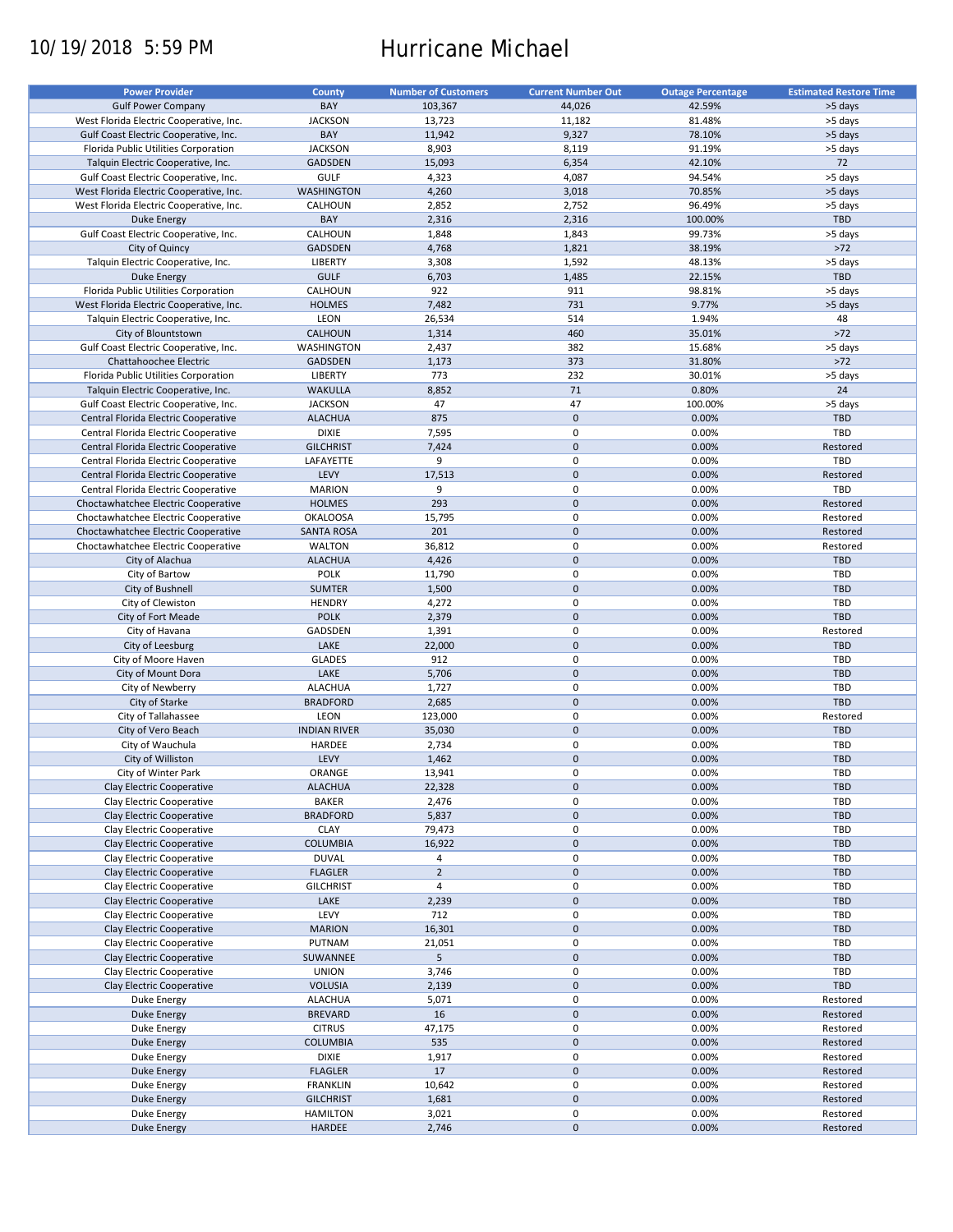# 10/19/2018 5:59 PM Hurricane Michael

| <b>Power Provider</b>                                   | <b>County</b>       | <b>Number of Customers</b> | <b>Current Number Out</b> | <b>Outage Percentage</b> | <b>Estimated Restore Time</b> |
|---------------------------------------------------------|---------------------|----------------------------|---------------------------|--------------------------|-------------------------------|
| <b>Gulf Power Company</b>                               | BAY                 | 103,367                    | 44,026                    | 42.59%                   | >5 days                       |
| West Florida Electric Cooperative, Inc.                 | <b>JACKSON</b>      | 13,723                     | 11,182                    | 81.48%                   | >5 days                       |
| Gulf Coast Electric Cooperative, Inc.                   | BAY                 | 11,942                     | 9,327                     | 78.10%                   | >5 days                       |
| Florida Public Utilities Corporation                    | <b>JACKSON</b>      | 8,903                      | 8,119                     | 91.19%                   | >5 days                       |
| Talquin Electric Cooperative, Inc.                      | <b>GADSDEN</b>      | 15,093                     | 6,354                     | 42.10%                   | 72                            |
| Gulf Coast Electric Cooperative, Inc.                   | <b>GULF</b>         | 4,323                      | 4,087                     | 94.54%                   | >5 days                       |
| West Florida Electric Cooperative, Inc.                 | <b>WASHINGTON</b>   | 4,260                      | 3,018                     | 70.85%                   | >5 days                       |
| West Florida Electric Cooperative, Inc.                 | CALHOUN             | 2,852                      | 2,752                     | 96.49%                   |                               |
|                                                         | BAY                 |                            | 2,316                     |                          | >5 days<br>TBD                |
| Duke Energy                                             | CALHOUN             | 2,316                      | 1,843                     | 100.00%                  |                               |
| Gulf Coast Electric Cooperative, Inc.<br>City of Quincy | <b>GADSDEN</b>      | 1,848                      |                           | 99.73%<br>38.19%         | >5 days<br>$>72$              |
|                                                         |                     | 4,768                      | 1,821                     |                          |                               |
| Talquin Electric Cooperative, Inc.                      | <b>LIBERTY</b>      | 3,308                      | 1,592                     | 48.13%                   | >5 days                       |
| <b>Duke Energy</b>                                      | <b>GULF</b>         | 6,703                      | 1,485                     | 22.15%                   | <b>TBD</b>                    |
| Florida Public Utilities Corporation                    | CALHOUN             | 922                        | 911                       | 98.81%                   | >5 days                       |
| West Florida Electric Cooperative, Inc.                 | <b>HOLMES</b>       | 7,482                      | 731                       | 9.77%                    | >5 days                       |
| Talquin Electric Cooperative, Inc.                      | LEON                | 26,534                     | 514                       | 1.94%                    | 48                            |
| City of Blountstown                                     | <b>CALHOUN</b>      | 1,314                      | 460                       | 35.01%                   | $>72$                         |
| Gulf Coast Electric Cooperative, Inc.                   | WASHINGTON          | 2,437                      | 382                       | 15.68%                   | >5 days                       |
| Chattahoochee Electric                                  | <b>GADSDEN</b>      | 1,173                      | 373                       | 31.80%                   | $>72$                         |
| Florida Public Utilities Corporation                    | LIBERTY             | 773                        | 232                       | 30.01%                   | >5 days                       |
| Talquin Electric Cooperative, Inc.                      | <b>WAKULLA</b>      | 8,852                      | 71                        | 0.80%                    | 24                            |
| Gulf Coast Electric Cooperative, Inc.                   | <b>JACKSON</b>      | 47                         | 47                        | 100.00%                  | >5 days                       |
| Central Florida Electric Cooperative                    | <b>ALACHUA</b>      | 875                        | $\mathbf 0$               | 0.00%                    | <b>TBD</b>                    |
| Central Florida Electric Cooperative                    | <b>DIXIE</b>        | 7,595                      | 0                         | 0.00%                    | TBD                           |
| Central Florida Electric Cooperative                    | <b>GILCHRIST</b>    | 7,424                      | $\mathbf 0$               | 0.00%                    | Restored                      |
| Central Florida Electric Cooperative                    | LAFAYETTE           | 9                          | 0                         | 0.00%                    | TBD                           |
| Central Florida Electric Cooperative                    | LEVY                | 17,513                     | $\mathbf 0$               | 0.00%                    | Restored                      |
| Central Florida Electric Cooperative                    | <b>MARION</b>       | 9                          | $\mathbf 0$               | 0.00%                    | TBD                           |
| Choctawhatchee Electric Cooperative                     | <b>HOLMES</b>       | 293                        | $\mathbf 0$               | 0.00%                    | Restored                      |
| Choctawhatchee Electric Cooperative                     | <b>OKALOOSA</b>     | 15,795                     | $\pmb{0}$                 | 0.00%                    | Restored                      |
| Choctawhatchee Electric Cooperative                     | <b>SANTA ROSA</b>   | 201                        | $\mathbf 0$               | 0.00%                    | Restored                      |
| Choctawhatchee Electric Cooperative                     | <b>WALTON</b>       | 36,812                     | 0                         | 0.00%                    | Restored                      |
| City of Alachua                                         | <b>ALACHUA</b>      | 4,426                      | $\mathbf 0$               | 0.00%                    | <b>TBD</b>                    |
| City of Bartow                                          | POLK                | 11,790                     | 0                         | 0.00%                    | TBD                           |
| City of Bushnell                                        | <b>SUMTER</b>       | 1,500                      | $\mathbf 0$               | 0.00%                    | <b>TBD</b>                    |
| City of Clewiston                                       | <b>HENDRY</b>       | 4,272                      | 0                         | 0.00%                    | TBD                           |
| City of Fort Meade                                      | <b>POLK</b>         | 2,379                      | $\mathbf 0$               | 0.00%                    | <b>TBD</b>                    |
|                                                         |                     |                            | $\pmb{0}$                 |                          |                               |
| City of Havana                                          | GADSDEN             | 1,391                      | $\mathbf 0$               | 0.00%                    | Restored                      |
| City of Leesburg                                        | LAKE                | 22,000                     |                           | 0.00%                    | <b>TBD</b>                    |
| City of Moore Haven                                     | <b>GLADES</b>       | 912                        | 0                         | 0.00%                    | TBD                           |
| City of Mount Dora                                      | LAKE                | 5,706                      | $\mathbf 0$               | 0.00%                    | <b>TBD</b>                    |
| City of Newberry                                        | <b>ALACHUA</b>      | 1,727                      | 0                         | 0.00%                    | TBD                           |
| City of Starke                                          | <b>BRADFORD</b>     | 2,685                      | $\mathbf 0$               | 0.00%                    | <b>TBD</b>                    |
| City of Tallahassee                                     | LEON                | 123,000                    | 0                         | 0.00%                    | Restored                      |
| City of Vero Beach                                      | <b>INDIAN RIVER</b> | 35,030                     | $\mathbf 0$               | 0.00%                    | <b>TBD</b>                    |
| City of Wauchula                                        | HARDEE              | 2,734                      | $\pmb{0}$                 | 0.00%                    | TBD                           |
| City of Williston                                       | LEVY                | 1,462                      | $\mathbf 0$               | 0.00%                    | <b>TBD</b>                    |
| City of Winter Park                                     | ORANGE              | 13,941                     | $\mathbf 0$               | 0.00%                    | TBD                           |
| Clay Electric Cooperative                               | <b>ALACHUA</b>      | 22,328                     | $\mathsf{O}\xspace$       | 0.00%                    | <b>TBD</b>                    |
| Clay Electric Cooperative                               | <b>BAKER</b>        | 2,476                      | 0                         | 0.00%                    | TBD                           |
| Clay Electric Cooperative                               | <b>BRADFORD</b>     | 5,837                      | $\pmb{0}$                 | 0.00%                    | <b>TBD</b>                    |
| Clay Electric Cooperative                               | <b>CLAY</b>         | 79,473                     | 0                         | 0.00%                    | TBD                           |
| Clay Electric Cooperative                               | <b>COLUMBIA</b>     | 16,922                     | $\mathsf{O}\xspace$       | 0.00%                    | <b>TBD</b>                    |
| Clay Electric Cooperative                               | <b>DUVAL</b>        | 4                          | 0                         | 0.00%                    | TBD                           |
| Clay Electric Cooperative                               | <b>FLAGLER</b>      | $\mathbf 2$                | $\mathsf{O}\xspace$       | 0.00%                    | <b>TBD</b>                    |
| Clay Electric Cooperative                               | <b>GILCHRIST</b>    | 4                          | 0                         | 0.00%                    | TBD                           |
| Clay Electric Cooperative                               | LAKE                | 2,239                      | $\pmb{0}$                 | 0.00%                    | <b>TBD</b>                    |
| Clay Electric Cooperative                               | LEVY                | 712                        | 0                         | 0.00%                    | TBD                           |
| Clay Electric Cooperative                               | <b>MARION</b>       | 16,301                     | $\pmb{0}$                 | 0.00%                    | <b>TBD</b>                    |
| Clay Electric Cooperative                               | PUTNAM              | 21,051                     | 0                         | 0.00%                    | TBD                           |
| Clay Electric Cooperative                               | SUWANNEE            | 5                          | $\mathsf{O}\xspace$       | 0.00%                    | TBD                           |
| Clay Electric Cooperative                               | <b>UNION</b>        | 3,746                      | 0                         | 0.00%                    | TBD                           |
| Clay Electric Cooperative                               | <b>VOLUSIA</b>      | 2,139                      | $\pmb{0}$                 | 0.00%                    | TBD                           |
| Duke Energy                                             | <b>ALACHUA</b>      | 5,071                      | 0                         | 0.00%                    | Restored                      |
|                                                         |                     |                            | $\pmb{0}$                 |                          |                               |
| Duke Energy                                             | <b>BREVARD</b>      | 16                         |                           | 0.00%                    | Restored                      |
| Duke Energy                                             | <b>CITRUS</b>       | 47,175                     | 0                         | 0.00%                    | Restored                      |
| <b>Duke Energy</b>                                      | COLUMBIA            | 535                        | $\pmb{0}$                 | 0.00%                    | Restored                      |
| Duke Energy                                             | <b>DIXIE</b>        | 1,917                      | $\pmb{0}$                 | 0.00%                    | Restored                      |
| <b>Duke Energy</b>                                      | <b>FLAGLER</b>      | 17                         | $\pmb{0}$                 | 0.00%                    | Restored                      |
| Duke Energy                                             | <b>FRANKLIN</b>     | 10,642                     | $\pmb{0}$                 | 0.00%                    | Restored                      |
| <b>Duke Energy</b>                                      | <b>GILCHRIST</b>    | 1,681                      | $\pmb{0}$                 | 0.00%                    | Restored                      |
| Duke Energy                                             | <b>HAMILTON</b>     | 3,021                      | $\pmb{0}$                 | 0.00%                    | Restored                      |
| <b>Duke Energy</b>                                      | HARDEE              | 2,746                      | $\pmb{0}$                 | 0.00%                    | Restored                      |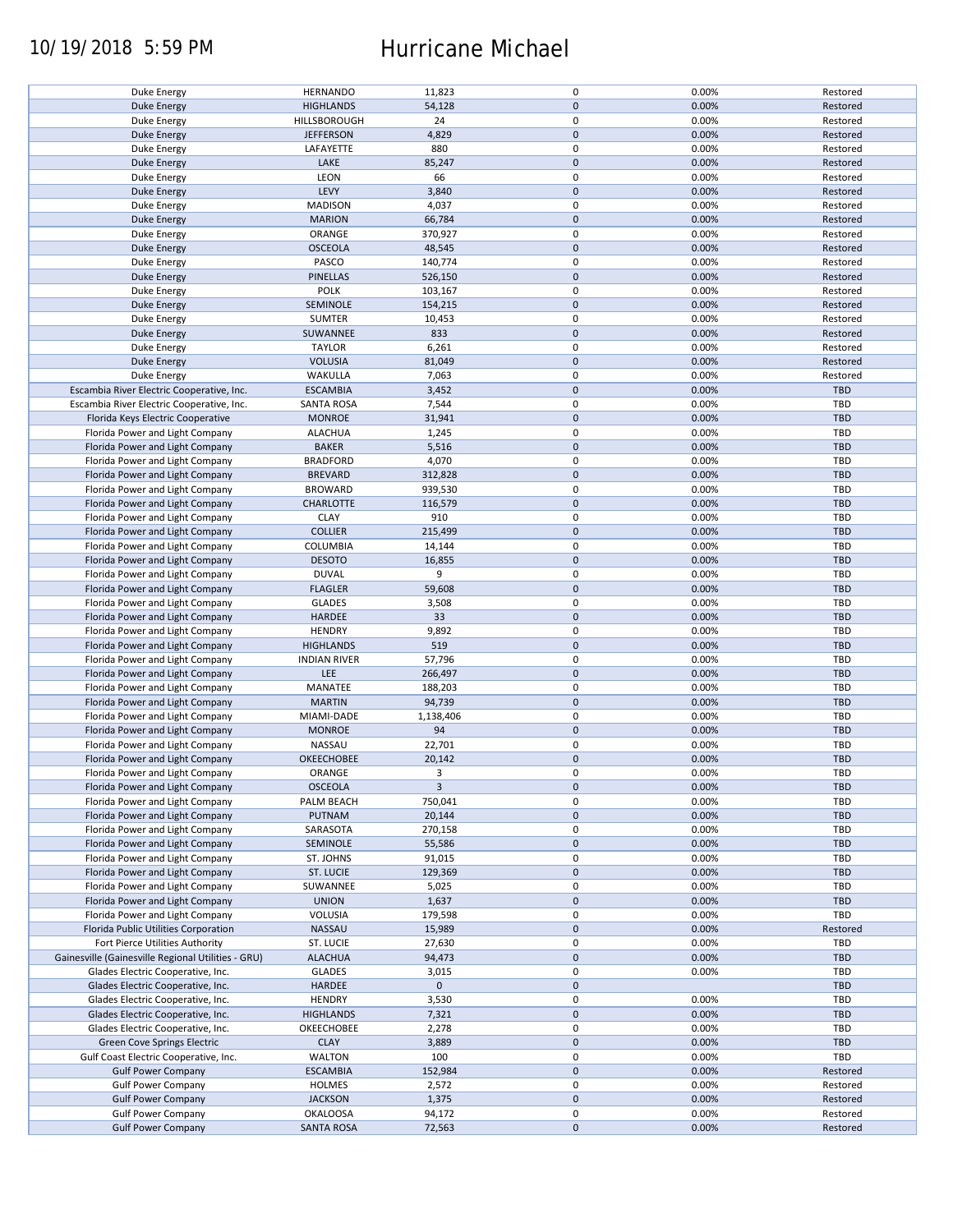### 10/19/2018 5:59 PM Hurricane Michael

| <b>Duke Energy</b>                                 | <b>HERNANDO</b>     | 11,823       | 0           | 0.00% | Restored   |
|----------------------------------------------------|---------------------|--------------|-------------|-------|------------|
| <b>Duke Energy</b>                                 | <b>HIGHLANDS</b>    | 54,128       | $\pmb{0}$   | 0.00% | Restored   |
| Duke Energy                                        |                     | 24           | 0           |       |            |
|                                                    | HILLSBOROUGH        |              |             | 0.00% | Restored   |
| <b>Duke Energy</b>                                 | <b>JEFFERSON</b>    | 4,829        | $\mathbf 0$ | 0.00% | Restored   |
| Duke Energy                                        | LAFAYETTE           | 880          | 0           | 0.00% | Restored   |
| <b>Duke Energy</b>                                 | LAKE                | 85,247       | $\pmb{0}$   | 0.00% | Restored   |
|                                                    |                     |              |             |       |            |
| Duke Energy                                        | LEON                | 66           | 0           | 0.00% | Restored   |
| <b>Duke Energy</b>                                 | LEVY                | 3,840        | $\mathbf 0$ | 0.00% | Restored   |
|                                                    |                     | 4,037        | 0           |       |            |
| Duke Energy                                        | <b>MADISON</b>      |              |             | 0.00% | Restored   |
| <b>Duke Energy</b>                                 | <b>MARION</b>       | 66,784       | $\pmb{0}$   | 0.00% | Restored   |
| Duke Energy                                        | ORANGE              | 370,927      | 0           | 0.00% | Restored   |
|                                                    |                     |              |             |       |            |
| <b>Duke Energy</b>                                 | <b>OSCEOLA</b>      | 48,545       | $\mathbf 0$ | 0.00% | Restored   |
| Duke Energy                                        | PASCO               | 140,774      | $\mathbf 0$ | 0.00% | Restored   |
| <b>Duke Energy</b>                                 | PINELLAS            | 526,150      | $\mathbf 0$ | 0.00% | Restored   |
|                                                    |                     |              |             |       |            |
| Duke Energy                                        | POLK                | 103,167      | $\pmb{0}$   | 0.00% | Restored   |
| <b>Duke Energy</b>                                 | SEMINOLE            | 154,215      | $\pmb{0}$   | 0.00% | Restored   |
| Duke Energy                                        | <b>SUMTER</b>       | 10,453       | 0           | 0.00% | Restored   |
|                                                    |                     |              |             |       |            |
| <b>Duke Energy</b>                                 | SUWANNEE            | 833          | $\mathbf 0$ | 0.00% | Restored   |
| Duke Energy                                        | <b>TAYLOR</b>       | 6,261        | 0           | 0.00% | Restored   |
| <b>Duke Energy</b>                                 | <b>VOLUSIA</b>      | 81,049       | $\mathbf 0$ | 0.00% | Restored   |
|                                                    |                     |              |             |       |            |
| Duke Energy                                        | WAKULLA             | 7,063        | 0           | 0.00% | Restored   |
| Escambia River Electric Cooperative, Inc.          | <b>ESCAMBIA</b>     | 3,452        | $\pmb{0}$   | 0.00% | TBD        |
| Escambia River Electric Cooperative, Inc.          | <b>SANTA ROSA</b>   |              | 0           | 0.00% | <b>TBD</b> |
|                                                    |                     | 7,544        |             |       |            |
| Florida Keys Electric Cooperative                  | <b>MONROE</b>       | 31,941       | $\pmb{0}$   | 0.00% | TBD        |
| Florida Power and Light Company                    | <b>ALACHUA</b>      | 1,245        | 0           | 0.00% | TBD        |
|                                                    |                     |              |             |       |            |
| Florida Power and Light Company                    | <b>BAKER</b>        | 5,516        | $\pmb{0}$   | 0.00% | <b>TBD</b> |
| Florida Power and Light Company                    | <b>BRADFORD</b>     | 4,070        | 0           | 0.00% | TBD        |
| Florida Power and Light Company                    | <b>BREVARD</b>      | 312,828      | $\pmb{0}$   | 0.00% | <b>TBD</b> |
|                                                    |                     |              |             |       |            |
| Florida Power and Light Company                    | <b>BROWARD</b>      | 939,530      | $\pmb{0}$   | 0.00% | <b>TBD</b> |
| Florida Power and Light Company                    | <b>CHARLOTTE</b>    | 116,579      | $\mathbf 0$ | 0.00% | <b>TBD</b> |
| Florida Power and Light Company                    | <b>CLAY</b>         | 910          | 0           | 0.00% | TBD        |
|                                                    |                     |              |             |       |            |
| Florida Power and Light Company                    | <b>COLLIER</b>      | 215,499      | 0           | 0.00% | <b>TBD</b> |
| Florida Power and Light Company                    | COLUMBIA            | 14,144       | 0           | 0.00% | TBD        |
|                                                    |                     |              |             |       |            |
| Florida Power and Light Company                    | <b>DESOTO</b>       | 16,855       | $\pmb{0}$   | 0.00% | <b>TBD</b> |
| Florida Power and Light Company                    | <b>DUVAL</b>        | 9            | 0           | 0.00% | TBD        |
| Florida Power and Light Company                    | <b>FLAGLER</b>      | 59,608       | $\pmb{0}$   | 0.00% | <b>TBD</b> |
|                                                    |                     |              |             |       |            |
| Florida Power and Light Company                    | <b>GLADES</b>       | 3,508        | 0           | 0.00% | TBD        |
| Florida Power and Light Company                    | HARDEE              | 33           | $\mathbf 0$ | 0.00% | <b>TBD</b> |
| Florida Power and Light Company                    | <b>HENDRY</b>       | 9,892        | $\pmb{0}$   | 0.00% | TBD        |
|                                                    |                     |              |             |       |            |
| Florida Power and Light Company                    | <b>HIGHLANDS</b>    | 519          | $\pmb{0}$   | 0.00% | <b>TBD</b> |
| Florida Power and Light Company                    | <b>INDIAN RIVER</b> | 57,796       | 0           | 0.00% | TBD        |
|                                                    | LEE                 | 266,497      | $\pmb{0}$   | 0.00% | <b>TBD</b> |
| Florida Power and Light Company                    |                     |              |             |       |            |
| Florida Power and Light Company                    | MANATEE             | 188,203      | 0           | 0.00% | <b>TBD</b> |
| Florida Power and Light Company                    | <b>MARTIN</b>       | 94,739       | $\pmb{0}$   | 0.00% | <b>TBD</b> |
|                                                    |                     |              |             |       |            |
| Florida Power and Light Company                    | MIAMI-DADE          | 1,138,406    | 0           | 0.00% | <b>TBD</b> |
| Florida Power and Light Company                    | <b>MONROE</b>       | 94           | $\pmb{0}$   | 0.00% | <b>TBD</b> |
| Florida Power and Light Company                    | NASSAU              | 22,701       | 0           | 0.00% | <b>TBD</b> |
|                                                    |                     |              |             |       |            |
| Florida Power and Light Company                    | OKEECHOBEE          | 20,142       | $\mathbf 0$ | 0.00% | <b>TBD</b> |
| Florida Power and Light Company                    | ORANGE              | 3            | $\mathbf 0$ | 0.00% | TBD        |
| Florida Power and Light Company                    | <b>OSCEOLA</b>      | $\mathbf{3}$ | $\pmb{0}$   | 0.00% | <b>TBD</b> |
|                                                    |                     |              |             |       |            |
| Florida Power and Light Company                    | PALM BEACH          | 750,041      | 0           | 0.00% | TBD        |
| Florida Power and Light Company                    | PUTNAM              | 20,144       | 0           | 0.00% | TBD        |
| Florida Power and Light Company                    |                     |              | 0           |       |            |
|                                                    | SARASOTA            | 270,158      |             | 0.00% | TBD        |
| Florida Power and Light Company                    | SEMINOLE            | 55,586       | 0           | 0.00% | <b>TBD</b> |
| Florida Power and Light Company                    | ST. JOHNS           | 91,015       | 0           | 0.00% | TBD        |
|                                                    |                     |              |             |       |            |
| Florida Power and Light Company                    | ST. LUCIE           | 129,369      | 0           | 0.00% | <b>TBD</b> |
| Florida Power and Light Company                    | SUWANNEE            | 5,025        | 0           | 0.00% | TBD        |
| Florida Power and Light Company                    | <b>UNION</b>        | 1,637        | $\pmb{0}$   | 0.00% | <b>TBD</b> |
|                                                    |                     |              |             |       |            |
| Florida Power and Light Company                    | VOLUSIA             | 179,598      | 0           | 0.00% | TBD        |
| Florida Public Utilities Corporation               | NASSAU              | 15,989       | $\pmb{0}$   | 0.00% | Restored   |
|                                                    |                     |              |             |       |            |
| Fort Pierce Utilities Authority                    | ST. LUCIE           | 27,630       | 0           | 0.00% | TBD        |
| Gainesville (Gainesville Regional Utilities - GRU) | <b>ALACHUA</b>      | 94,473       | $\pmb{0}$   | 0.00% | <b>TBD</b> |
| Glades Electric Cooperative, Inc.                  | <b>GLADES</b>       | 3,015        | $\pmb{0}$   | 0.00% | TBD        |
|                                                    |                     |              |             |       |            |
| Glades Electric Cooperative, Inc.                  | HARDEE              | $\mathbf 0$  | $\pmb{0}$   |       | <b>TBD</b> |
| Glades Electric Cooperative, Inc.                  | <b>HENDRY</b>       | 3,530        | 0           | 0.00% | TBD        |
| Glades Electric Cooperative, Inc.                  | <b>HIGHLANDS</b>    | 7,321        | $\pmb{0}$   | 0.00% | <b>TBD</b> |
|                                                    |                     |              |             |       |            |
| Glades Electric Cooperative, Inc.                  | OKEECHOBEE          | 2,278        | 0           | 0.00% | TBD        |
| Green Cove Springs Electric                        | <b>CLAY</b>         | 3,889        | $\pmb{0}$   | 0.00% | TBD        |
| Gulf Coast Electric Cooperative, Inc.              | WALTON              | 100          | 0           | 0.00% | TBD        |
|                                                    |                     |              |             |       |            |
| <b>Gulf Power Company</b>                          | <b>ESCAMBIA</b>     | 152,984      | $\pmb{0}$   | 0.00% | Restored   |
| <b>Gulf Power Company</b>                          | <b>HOLMES</b>       | 2,572        | 0           | 0.00% | Restored   |
|                                                    |                     |              |             |       |            |
| <b>Gulf Power Company</b>                          | <b>JACKSON</b>      | 1,375        | $\pmb{0}$   | 0.00% | Restored   |
| <b>Gulf Power Company</b>                          | <b>OKALOOSA</b>     | 94,172       | 0           | 0.00% | Restored   |
| <b>Gulf Power Company</b>                          | <b>SANTA ROSA</b>   | 72,563       | $\pmb{0}$   | 0.00% | Restored   |
|                                                    |                     |              |             |       |            |